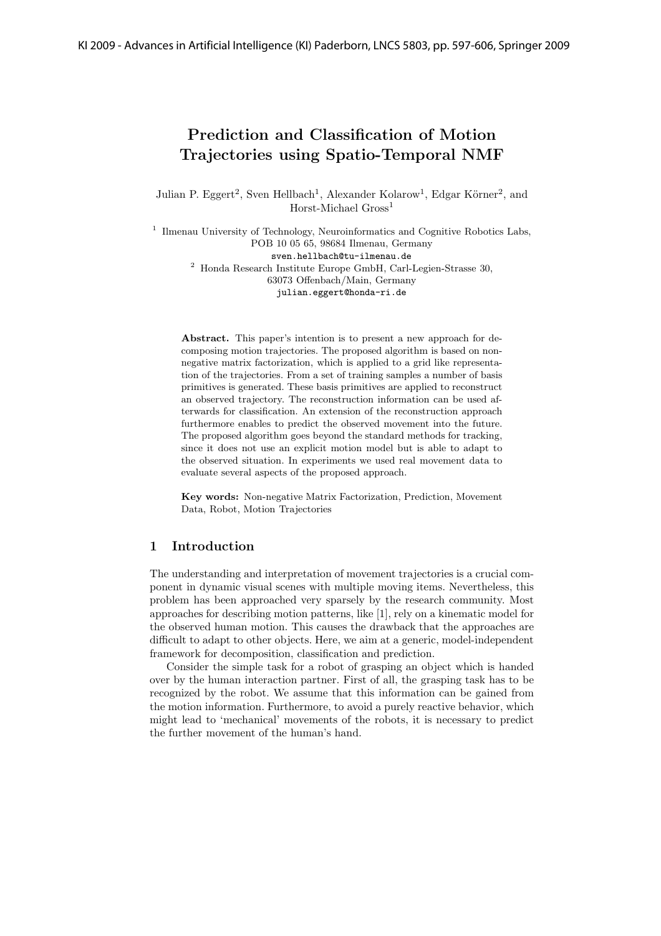# Prediction and Classification of Motion Trajectories using Spatio-Temporal NMF

Julian P. Eggert<sup>2</sup>, Sven Hellbach<sup>1</sup>, Alexander Kolarow<sup>1</sup>, Edgar Körner<sup>2</sup>, and Horst-Michael Gross<sup>1</sup>

<sup>1</sup> Ilmenau University of Technology, Neuroinformatics and Cognitive Robotics Labs, POB 10 05 65, 98684 Ilmenau, Germany sven.hellbach@tu-ilmenau.de <sup>2</sup> Honda Research Institute Europe GmbH, Carl-Legien-Strasse 30, 63073 Offenbach/Main, Germany julian.eggert@honda-ri.de

Abstract. This paper's intention is to present a new approach for decomposing motion trajectories. The proposed algorithm is based on nonnegative matrix factorization, which is applied to a grid like representation of the trajectories. From a set of training samples a number of basis primitives is generated. These basis primitives are applied to reconstruct an observed trajectory. The reconstruction information can be used afterwards for classification. An extension of the reconstruction approach furthermore enables to predict the observed movement into the future. The proposed algorithm goes beyond the standard methods for tracking, since it does not use an explicit motion model but is able to adapt to the observed situation. In experiments we used real movement data to evaluate several aspects of the proposed approach.

Key words: Non-negative Matrix Factorization, Prediction, Movement Data, Robot, Motion Trajectories

# 1 Introduction

The understanding and interpretation of movement trajectories is a crucial component in dynamic visual scenes with multiple moving items. Nevertheless, this problem has been approached very sparsely by the research community. Most approaches for describing motion patterns, like [1], rely on a kinematic model for the observed human motion. This causes the drawback that the approaches are difficult to adapt to other objects. Here, we aim at a generic, model-independent framework for decomposition, classification and prediction.

Consider the simple task for a robot of grasping an object which is handed over by the human interaction partner. First of all, the grasping task has to be recognized by the robot. We assume that this information can be gained from the motion information. Furthermore, to avoid a purely reactive behavior, which might lead to 'mechanical' movements of the robots, it is necessary to predict the further movement of the human's hand.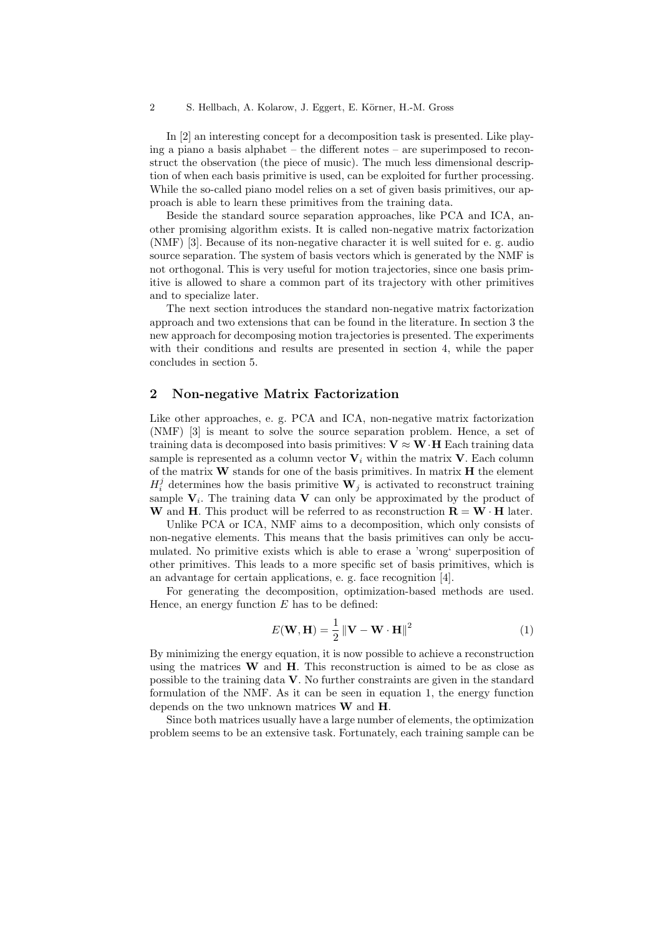In [2] an interesting concept for a decomposition task is presented. Like playing a piano a basis alphabet – the different notes – are superimposed to reconstruct the observation (the piece of music). The much less dimensional description of when each basis primitive is used, can be exploited for further processing. While the so-called piano model relies on a set of given basis primitives, our approach is able to learn these primitives from the training data.

Beside the standard source separation approaches, like PCA and ICA, another promising algorithm exists. It is called non-negative matrix factorization (NMF) [3]. Because of its non-negative character it is well suited for e. g. audio source separation. The system of basis vectors which is generated by the NMF is not orthogonal. This is very useful for motion trajectories, since one basis primitive is allowed to share a common part of its trajectory with other primitives and to specialize later.

The next section introduces the standard non-negative matrix factorization approach and two extensions that can be found in the literature. In section 3 the new approach for decomposing motion trajectories is presented. The experiments with their conditions and results are presented in section 4, while the paper concludes in section 5.

## 2 Non-negative Matrix Factorization

Like other approaches, e. g. PCA and ICA, non-negative matrix factorization (NMF) [3] is meant to solve the source separation problem. Hence, a set of training data is decomposed into basis primitives:  $V \approx W \cdot H$  Each training data sample is represented as a column vector  $V_i$  within the matrix V. Each column of the matrix  $\bf{W}$  stands for one of the basis primitives. In matrix  $\bf{H}$  the element  $H_i^j$  determines how the basis primitive  $\mathbf{W}_j$  is activated to reconstruct training sample  $V_i$ . The training data V can only be approximated by the product of W and H. This product will be referred to as reconstruction  $\mathbf{R} = \mathbf{W} \cdot \mathbf{H}$  later.

Unlike PCA or ICA, NMF aims to a decomposition, which only consists of non-negative elements. This means that the basis primitives can only be accumulated. No primitive exists which is able to erase a 'wrong' superposition of other primitives. This leads to a more specific set of basis primitives, which is an advantage for certain applications, e. g. face recognition [4].

For generating the decomposition, optimization-based methods are used. Hence, an energy function  $E$  has to be defined:

$$
E(\mathbf{W}, \mathbf{H}) = \frac{1}{2} \left\| \mathbf{V} - \mathbf{W} \cdot \mathbf{H} \right\|^2 \tag{1}
$$

By minimizing the energy equation, it is now possible to achieve a reconstruction using the matrices  $W$  and  $H$ . This reconstruction is aimed to be as close as possible to the training data  $V$ . No further constraints are given in the standard formulation of the NMF. As it can be seen in equation 1, the energy function depends on the two unknown matrices  $W$  and  $H$ .

Since both matrices usually have a large number of elements, the optimization problem seems to be an extensive task. Fortunately, each training sample can be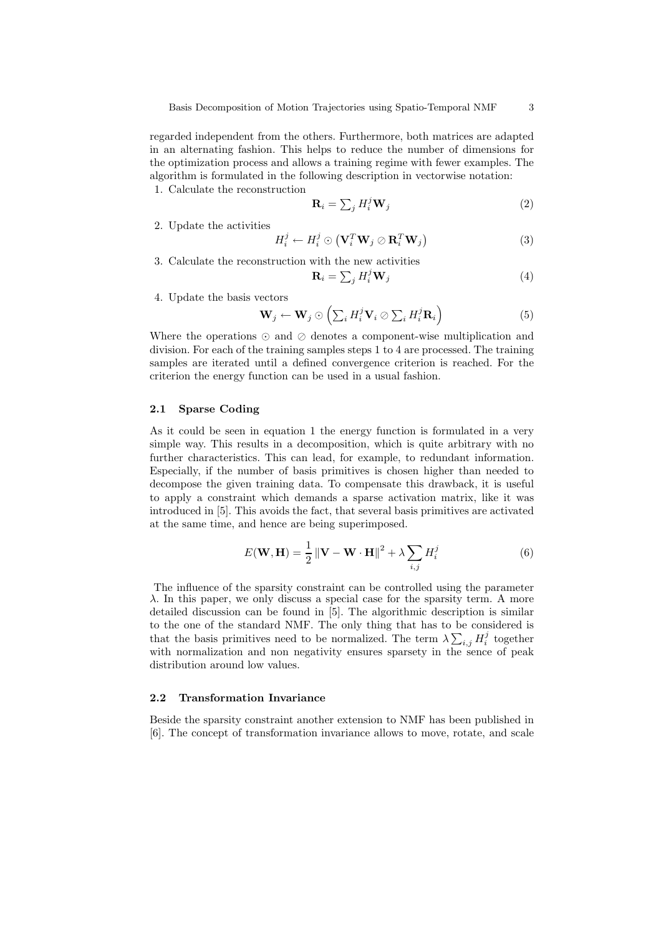regarded independent from the others. Furthermore, both matrices are adapted in an alternating fashion. This helps to reduce the number of dimensions for the optimization process and allows a training regime with fewer examples. The algorithm is formulated in the following description in vectorwise notation:

1. Calculate the reconstruction

$$
\mathbf{R}_i = \sum_j H_i^j \mathbf{W}_j \tag{2}
$$

2. Update the activities

$$
H_i^j \leftarrow H_i^j \odot (\mathbf{V}_i^T \mathbf{W}_j \odot \mathbf{R}_i^T \mathbf{W}_j)
$$
 (3)

3. Calculate the reconstruction with the new activities

$$
\mathbf{R}_i = \sum_j H_i^j \mathbf{W}_j \tag{4}
$$

4. Update the basis vectors

$$
\mathbf{W}_j \leftarrow \mathbf{W}_j \odot \left( \sum_i H_i^j \mathbf{V}_i \oslash \sum_i H_i^j \mathbf{R}_i \right) \tag{5}
$$

Where the operations  $\odot$  and  $\oslash$  denotes a component-wise multiplication and division. For each of the training samples steps 1 to 4 are processed. The training samples are iterated until a defined convergence criterion is reached. For the criterion the energy function can be used in a usual fashion.

## 2.1 Sparse Coding

As it could be seen in equation 1 the energy function is formulated in a very simple way. This results in a decomposition, which is quite arbitrary with no further characteristics. This can lead, for example, to redundant information. Especially, if the number of basis primitives is chosen higher than needed to decompose the given training data. To compensate this drawback, it is useful to apply a constraint which demands a sparse activation matrix, like it was introduced in [5]. This avoids the fact, that several basis primitives are activated at the same time, and hence are being superimposed.

$$
E(\mathbf{W}, \mathbf{H}) = \frac{1}{2} ||\mathbf{V} - \mathbf{W} \cdot \mathbf{H}||^2 + \lambda \sum_{i,j} H_i^j
$$
 (6)

The influence of the sparsity constraint can be controlled using the parameter  $\lambda$ . In this paper, we only discuss a special case for the sparsity term. A more detailed discussion can be found in [5]. The algorithmic description is similar to the one of the standard NMF. The only thing that has to be considered is that the basis primitives need to be normalized. The term  $\lambda \sum_{i,j} H_i^j$  together with normalization and non negativity ensures sparsety in the sence of peak distribution around low values.

## 2.2 Transformation Invariance

Beside the sparsity constraint another extension to NMF has been published in [6]. The concept of transformation invariance allows to move, rotate, and scale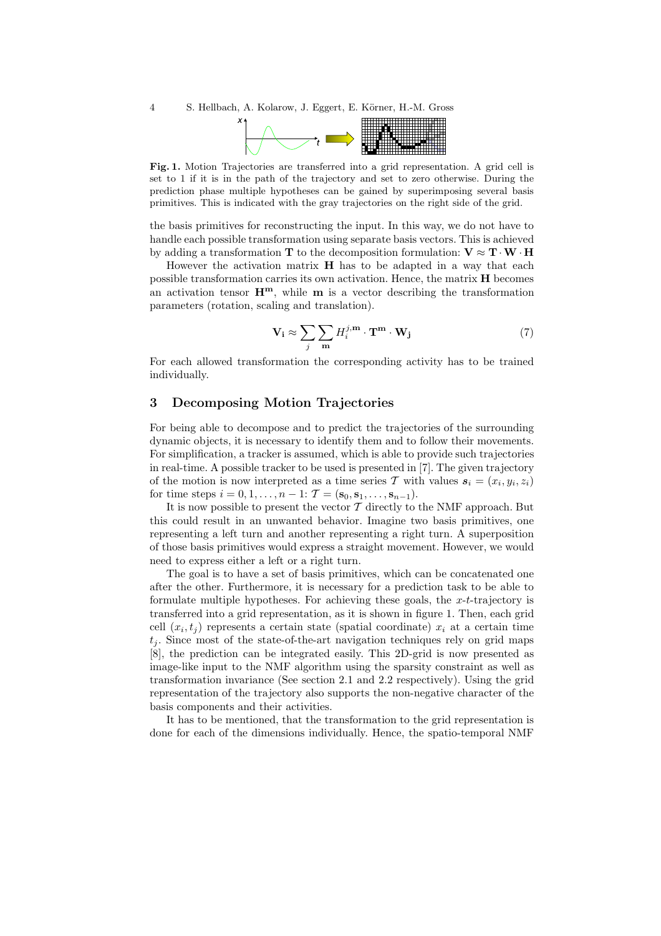4 S. Hellbach, A. Kolarow, J. Eggert, E. Körner, H.-M. Gross



Fig. 1. Motion Trajectories are transferred into a grid representation. A grid cell is set to 1 if it is in the path of the trajectory and set to zero otherwise. During the prediction phase multiple hypotheses can be gained by superimposing several basis primitives. This is indicated with the gray trajectories on the right side of the grid.

the basis primitives for reconstructing the input. In this way, we do not have to handle each possible transformation using separate basis vectors. This is achieved by adding a transformation **T** to the decomposition formulation:  $V \approx T \cdot W \cdot H$ 

However the activation matrix H has to be adapted in a way that each possible transformation carries its own activation. Hence, the matrix H becomes an activation tensor  $\mathbf{H}^{\mathbf{m}}$ , while  $\mathbf{m}$  is a vector describing the transformation parameters (rotation, scaling and translation).

$$
\mathbf{V}_{\mathbf{i}} \approx \sum_{j} \sum_{\mathbf{m}} H_{i}^{j, \mathbf{m}} \cdot \mathbf{T}^{\mathbf{m}} \cdot \mathbf{W}_{\mathbf{j}}
$$
 (7)

For each allowed transformation the corresponding activity has to be trained individually.

# 3 Decomposing Motion Trajectories

For being able to decompose and to predict the trajectories of the surrounding dynamic objects, it is necessary to identify them and to follow their movements. For simplification, a tracker is assumed, which is able to provide such trajectories in real-time. A possible tracker to be used is presented in [7]. The given trajectory of the motion is now interpreted as a time series T with values  $s_i = (x_i, y_i, z_i)$ for time steps  $i = 0, 1, ..., n - 1$ :  $\mathcal{T} = (\mathbf{s}_0, \mathbf{s}_1, ..., \mathbf{s}_{n-1})$ .

It is now possible to present the vector  $\mathcal T$  directly to the NMF approach. But this could result in an unwanted behavior. Imagine two basis primitives, one representing a left turn and another representing a right turn. A superposition of those basis primitives would express a straight movement. However, we would need to express either a left or a right turn.

The goal is to have a set of basis primitives, which can be concatenated one after the other. Furthermore, it is necessary for a prediction task to be able to formulate multiple hypotheses. For achieving these goals, the  $x$ -t-trajectory is transferred into a grid representation, as it is shown in figure 1. Then, each grid cell  $(x_i, t_j)$  represents a certain state (spatial coordinate)  $x_i$  at a certain time  $t_i$ . Since most of the state-of-the-art navigation techniques rely on grid maps [8], the prediction can be integrated easily. This 2D-grid is now presented as image-like input to the NMF algorithm using the sparsity constraint as well as transformation invariance (See section 2.1 and 2.2 respectively). Using the grid representation of the trajectory also supports the non-negative character of the basis components and their activities.

It has to be mentioned, that the transformation to the grid representation is done for each of the dimensions individually. Hence, the spatio-temporal NMF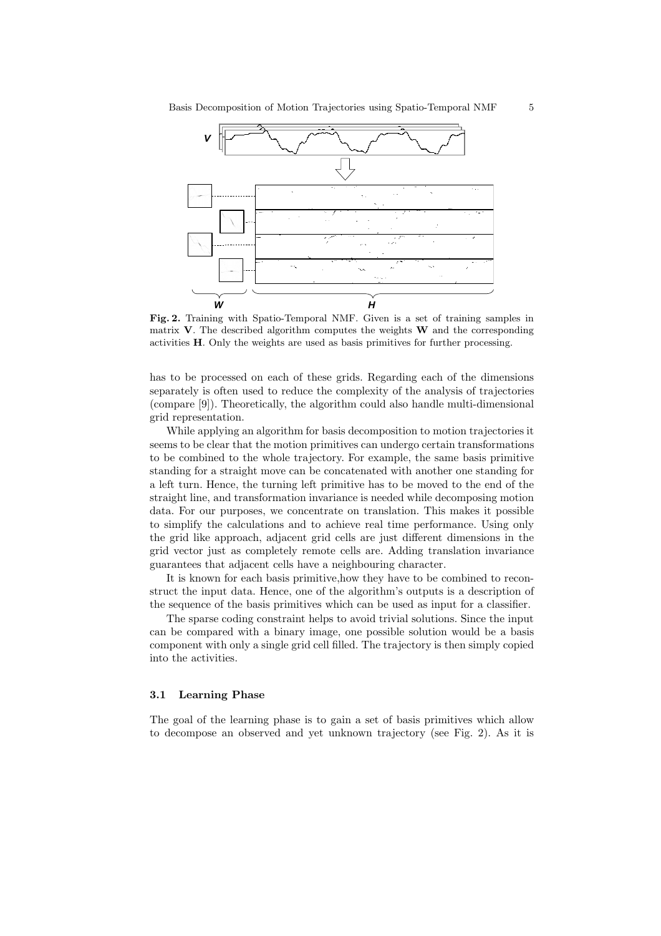

Fig. 2. Training with Spatio-Temporal NMF. Given is a set of training samples in matrix  $V$ . The described algorithm computes the weights  $W$  and the corresponding activities H. Only the weights are used as basis primitives for further processing.

has to be processed on each of these grids. Regarding each of the dimensions separately is often used to reduce the complexity of the analysis of trajectories (compare [9]). Theoretically, the algorithm could also handle multi-dimensional grid representation.

While applying an algorithm for basis decomposition to motion trajectories it seems to be clear that the motion primitives can undergo certain transformations to be combined to the whole trajectory. For example, the same basis primitive standing for a straight move can be concatenated with another one standing for a left turn. Hence, the turning left primitive has to be moved to the end of the straight line, and transformation invariance is needed while decomposing motion data. For our purposes, we concentrate on translation. This makes it possible to simplify the calculations and to achieve real time performance. Using only the grid like approach, adjacent grid cells are just different dimensions in the grid vector just as completely remote cells are. Adding translation invariance guarantees that adjacent cells have a neighbouring character.

It is known for each basis primitive,how they have to be combined to reconstruct the input data. Hence, one of the algorithm's outputs is a description of the sequence of the basis primitives which can be used as input for a classifier.

The sparse coding constraint helps to avoid trivial solutions. Since the input can be compared with a binary image, one possible solution would be a basis component with only a single grid cell filled. The trajectory is then simply copied into the activities.

#### 3.1 Learning Phase

The goal of the learning phase is to gain a set of basis primitives which allow to decompose an observed and yet unknown trajectory (see Fig. 2). As it is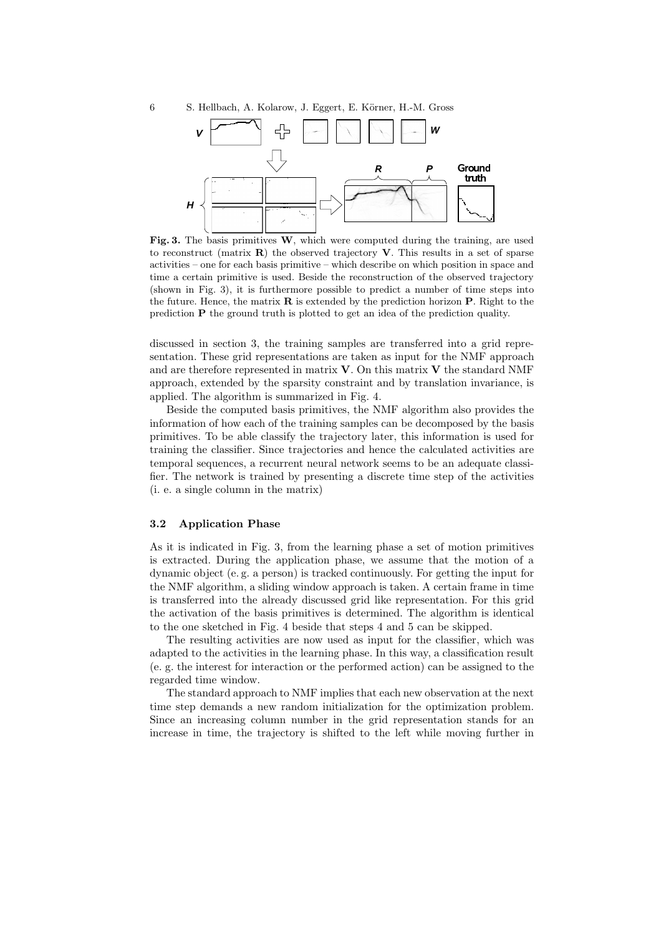

Fig. 3. The basis primitives  $W$ , which were computed during the training, are used to reconstruct (matrix  $\bf{R}$ ) the observed trajectory  $\bf{V}$ . This results in a set of sparse activities – one for each basis primitive – which describe on which position in space and time a certain primitive is used. Beside the reconstruction of the observed trajectory (shown in Fig. 3), it is furthermore possible to predict a number of time steps into the future. Hence, the matrix  $\bf{R}$  is extended by the prediction horizon  $\bf{P}$ . Right to the prediction P the ground truth is plotted to get an idea of the prediction quality.

discussed in section 3, the training samples are transferred into a grid representation. These grid representations are taken as input for the NMF approach and are therefore represented in matrix  $V$ . On this matrix  $V$  the standard NMF approach, extended by the sparsity constraint and by translation invariance, is applied. The algorithm is summarized in Fig. 4.

Beside the computed basis primitives, the NMF algorithm also provides the information of how each of the training samples can be decomposed by the basis primitives. To be able classify the trajectory later, this information is used for training the classifier. Since trajectories and hence the calculated activities are temporal sequences, a recurrent neural network seems to be an adequate classifier. The network is trained by presenting a discrete time step of the activities (i. e. a single column in the matrix)

#### 3.2 Application Phase

As it is indicated in Fig. 3, from the learning phase a set of motion primitives is extracted. During the application phase, we assume that the motion of a dynamic object (e. g. a person) is tracked continuously. For getting the input for the NMF algorithm, a sliding window approach is taken. A certain frame in time is transferred into the already discussed grid like representation. For this grid the activation of the basis primitives is determined. The algorithm is identical to the one sketched in Fig. 4 beside that steps 4 and 5 can be skipped.

The resulting activities are now used as input for the classifier, which was adapted to the activities in the learning phase. In this way, a classification result (e. g. the interest for interaction or the performed action) can be assigned to the regarded time window.

The standard approach to NMF implies that each new observation at the next time step demands a new random initialization for the optimization problem. Since an increasing column number in the grid representation stands for an increase in time, the trajectory is shifted to the left while moving further in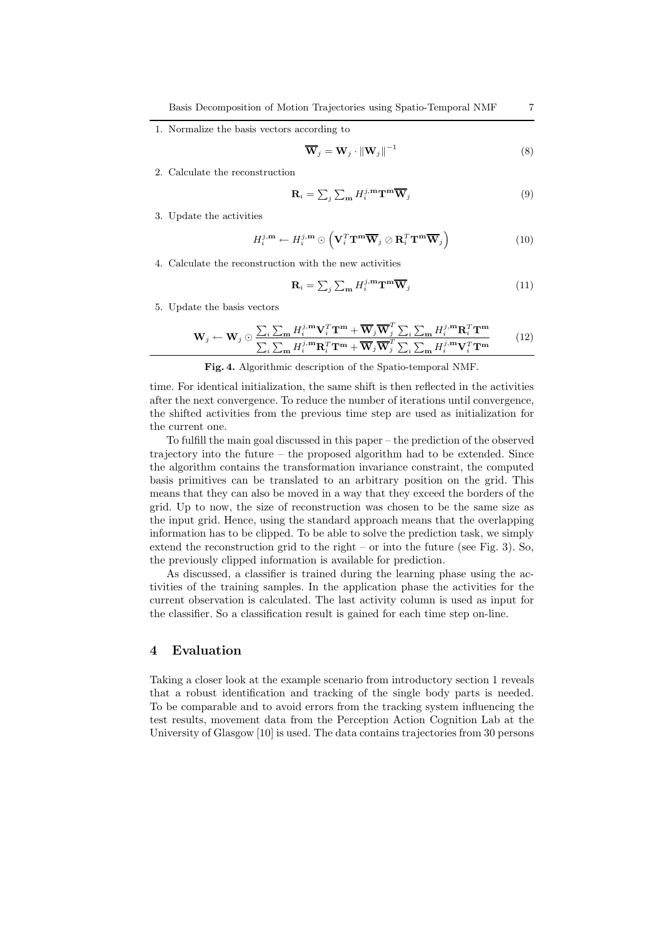1. Normalize the basis vectors according to

$$
\overline{\mathbf{W}}_j = \mathbf{W}_j \cdot ||\mathbf{W}_j||^{-1}
$$
\n(8)

2. Calculate the reconstruction

$$
\mathbf{R}_{i} = \sum_{j} \sum_{\mathbf{m}} H_{i}^{j, \mathbf{m}} \mathbf{T}^{\mathbf{m}} \overline{\mathbf{W}}_{j}
$$
(9)

3. Update the activities

$$
H_i^{j,\mathbf{m}} \leftarrow H_i^{j,\mathbf{m}} \odot \left( \mathbf{V}_i^T \mathbf{T}^{\mathbf{m}} \overline{\mathbf{W}}_j \oslash \mathbf{R}_i^T \mathbf{T}^{\mathbf{m}} \overline{\mathbf{W}}_j \right) \tag{10}
$$

4. Calculate the reconstruction with the new activities

$$
\mathbf{R}_{i} = \sum_{j} \sum_{\mathbf{m}} H_{i}^{j, \mathbf{m}} \mathbf{T}^{\mathbf{m}} \overline{\mathbf{W}}_{j}
$$
(11)

5. Update the basis vectors

$$
\mathbf{W}_{j} \leftarrow \mathbf{W}_{j} \odot \frac{\sum_{i} \sum_{m} H_{i}^{j, m} \mathbf{V}_{i}^{T} \mathbf{T}^{m} + \overline{\mathbf{W}}_{j} \overline{\mathbf{W}}_{j}^{T} \sum_{i} \sum_{m} H_{i}^{j, m} \mathbf{R}_{i}^{T} \mathbf{T}^{m}}{\sum_{i} \sum_{m} H_{i}^{j, m} \mathbf{R}_{i}^{T} \mathbf{T}^{m} + \overline{\mathbf{W}}_{j} \overline{\mathbf{W}}_{j}^{T} \sum_{i} \sum_{m} H_{i}^{j, m} \mathbf{V}_{i}^{T} \mathbf{T}^{m}}
$$
(12)

Fig. 4. Algorithmic description of the Spatio-temporal NMF.

time. For identical initialization, the same shift is then reflected in the activities after the next convergence. To reduce the number of iterations until convergence, the shifted activities from the previous time step are used as initialization for the current one.

To fulfill the main goal discussed in this paper – the prediction of the observed trajectory into the future – the proposed algorithm had to be extended. Since the algorithm contains the transformation invariance constraint, the computed basis primitives can be translated to an arbitrary position on the grid. This means that they can also be moved in a way that they exceed the borders of the grid. Up to now, the size of reconstruction was chosen to be the same size as the input grid. Hence, using the standard approach means that the overlapping information has to be clipped. To be able to solve the prediction task, we simply extend the reconstruction grid to the right – or into the future (see Fig. 3). So, the previously clipped information is available for prediction.

As discussed, a classifier is trained during the learning phase using the activities of the training samples. In the application phase the activities for the current observation is calculated. The last activity column is used as input for the classifier. So a classification result is gained for each time step on-line.

## 4 Evaluation

Taking a closer look at the example scenario from introductory section 1 reveals that a robust identification and tracking of the single body parts is needed. To be comparable and to avoid errors from the tracking system influencing the test results, movement data from the Perception Action Cognition Lab at the University of Glasgow [10] is used. The data contains trajectories from 30 persons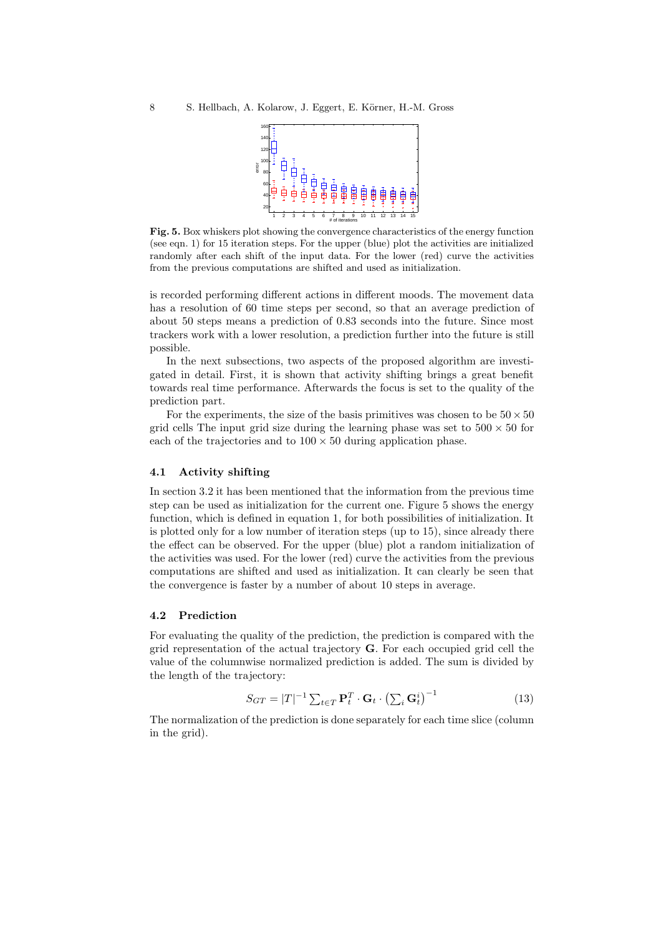

Fig. 5. Box whiskers plot showing the convergence characteristics of the energy function (see eqn. 1) for 15 iteration steps. For the upper (blue) plot the activities are initialized randomly after each shift of the input data. For the lower (red) curve the activities from the previous computations are shifted and used as initialization.

is recorded performing different actions in different moods. The movement data has a resolution of 60 time steps per second, so that an average prediction of about 50 steps means a prediction of 0.83 seconds into the future. Since most trackers work with a lower resolution, a prediction further into the future is still possible.

In the next subsections, two aspects of the proposed algorithm are investigated in detail. First, it is shown that activity shifting brings a great benefit towards real time performance. Afterwards the focus is set to the quality of the prediction part.

For the experiments, the size of the basis primitives was chosen to be  $50 \times 50$ grid cells The input grid size during the learning phase was set to  $500 \times 50$  for each of the trajectories and to  $100 \times 50$  during application phase.

### 4.1 Activity shifting

In section 3.2 it has been mentioned that the information from the previous time step can be used as initialization for the current one. Figure 5 shows the energy function, which is defined in equation 1, for both possibilities of initialization. It is plotted only for a low number of iteration steps (up to 15), since already there the effect can be observed. For the upper (blue) plot a random initialization of the activities was used. For the lower (red) curve the activities from the previous computations are shifted and used as initialization. It can clearly be seen that the convergence is faster by a number of about 10 steps in average.

## 4.2 Prediction

For evaluating the quality of the prediction, the prediction is compared with the grid representation of the actual trajectory G. For each occupied grid cell the value of the columnwise normalized prediction is added. The sum is divided by the length of the trajectory:

$$
S_{GT} = |T|^{-1} \sum_{t \in T} \mathbf{P}_t^T \cdot \mathbf{G}_t \cdot \left(\sum_i \mathbf{G}_t^i\right)^{-1}
$$
(13)

The normalization of the prediction is done separately for each time slice (column in the grid).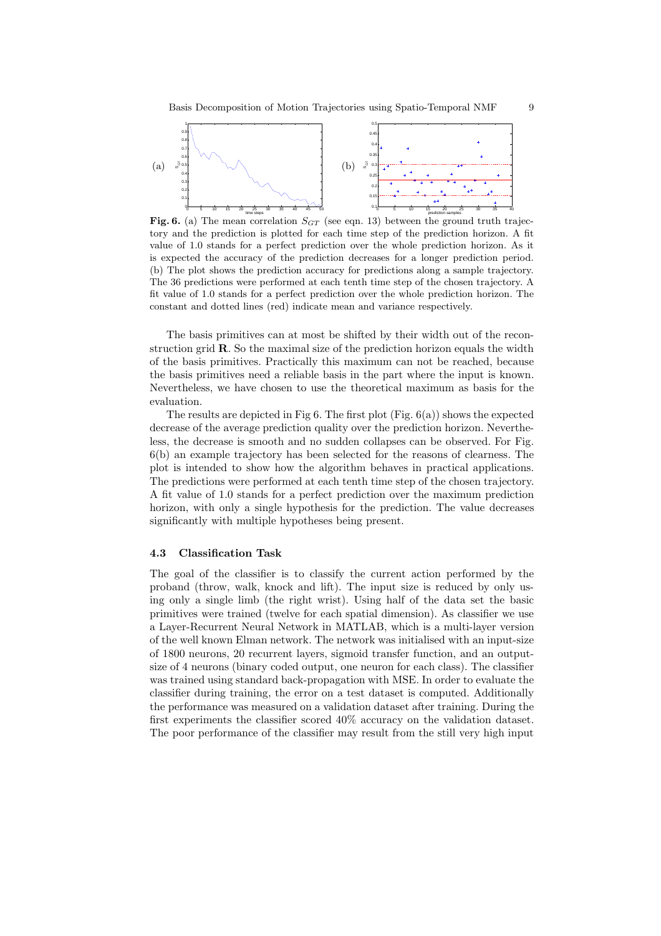

Fig. 6. (a) The mean correlation  $S_{GT}$  (see eqn. 13) between the ground truth trajectory and the prediction is plotted for each time step of the prediction horizon. A fit value of 1.0 stands for a perfect prediction over the whole prediction horizon. As it is expected the accuracy of the prediction decreases for a longer prediction period. (b) The plot shows the prediction accuracy for predictions along a sample trajectory. The 36 predictions were performed at each tenth time step of the chosen trajectory. A fit value of 1.0 stands for a perfect prediction over the whole prediction horizon. The constant and dotted lines (red) indicate mean and variance respectively.

The basis primitives can at most be shifted by their width out of the reconstruction grid  $\bf R$ . So the maximal size of the prediction horizon equals the width of the basis primitives. Practically this maximum can not be reached, because the basis primitives need a reliable basis in the part where the input is known. Nevertheless, we have chosen to use the theoretical maximum as basis for the evaluation.

The results are depicted in Fig 6. The first plot  $(Fig. 6(a))$  shows the expected decrease of the average prediction quality over the prediction horizon. Nevertheless, the decrease is smooth and no sudden collapses can be observed. For Fig. 6(b) an example trajectory has been selected for the reasons of clearness. The plot is intended to show how the algorithm behaves in practical applications. The predictions were performed at each tenth time step of the chosen trajectory. A fit value of 1.0 stands for a perfect prediction over the maximum prediction horizon, with only a single hypothesis for the prediction. The value decreases significantly with multiple hypotheses being present.

#### 4.3 Classification Task

The goal of the classifier is to classify the current action performed by the proband (throw, walk, knock and lift). The input size is reduced by only using only a single limb (the right wrist). Using half of the data set the basic primitives were trained (twelve for each spatial dimension). As classifier we use a Layer-Recurrent Neural Network in MATLAB, which is a multi-layer version of the well known Elman network. The network was initialised with an input-size of 1800 neurons, 20 recurrent layers, sigmoid transfer function, and an outputsize of 4 neurons (binary coded output, one neuron for each class). The classifier was trained using standard back-propagation with MSE. In order to evaluate the classifier during training, the error on a test dataset is computed. Additionally the performance was measured on a validation dataset after training. During the first experiments the classifier scored 40% accuracy on the validation dataset. The poor performance of the classifier may result from the still very high input